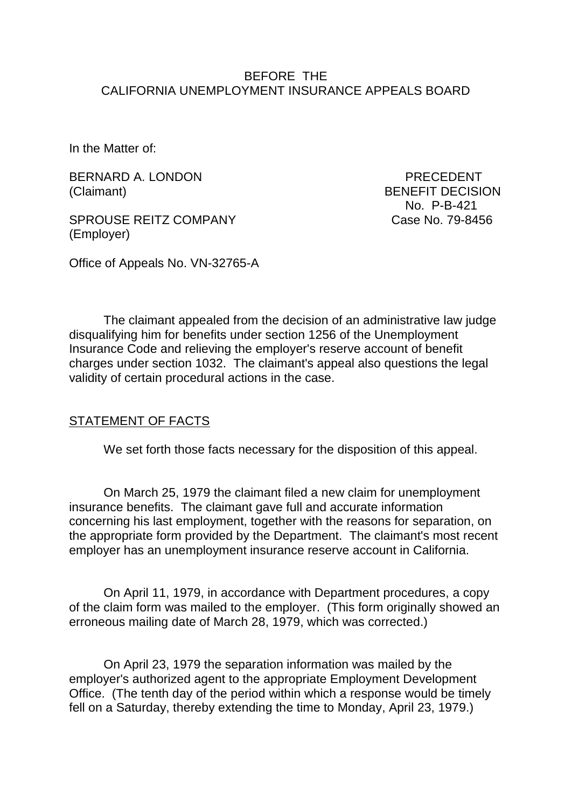### BEFORE THE CALIFORNIA UNEMPLOYMENT INSURANCE APPEALS BOARD

In the Matter of:

BERNARD A. LONDON PRECEDENT (Claimant) BENEFIT DECISION

SPROUSE REITZ COMPANY Case No. 79-8456 (Employer)

No. P-B-421

Office of Appeals No. VN-32765-A

The claimant appealed from the decision of an administrative law judge disqualifying him for benefits under section 1256 of the Unemployment Insurance Code and relieving the employer's reserve account of benefit charges under section 1032. The claimant's appeal also questions the legal validity of certain procedural actions in the case.

### STATEMENT OF FACTS

We set forth those facts necessary for the disposition of this appeal.

On March 25, 1979 the claimant filed a new claim for unemployment insurance benefits. The claimant gave full and accurate information concerning his last employment, together with the reasons for separation, on the appropriate form provided by the Department. The claimant's most recent employer has an unemployment insurance reserve account in California.

On April 11, 1979, in accordance with Department procedures, a copy of the claim form was mailed to the employer. (This form originally showed an erroneous mailing date of March 28, 1979, which was corrected.)

On April 23, 1979 the separation information was mailed by the employer's authorized agent to the appropriate Employment Development Office. (The tenth day of the period within which a response would be timely fell on a Saturday, thereby extending the time to Monday, April 23, 1979.)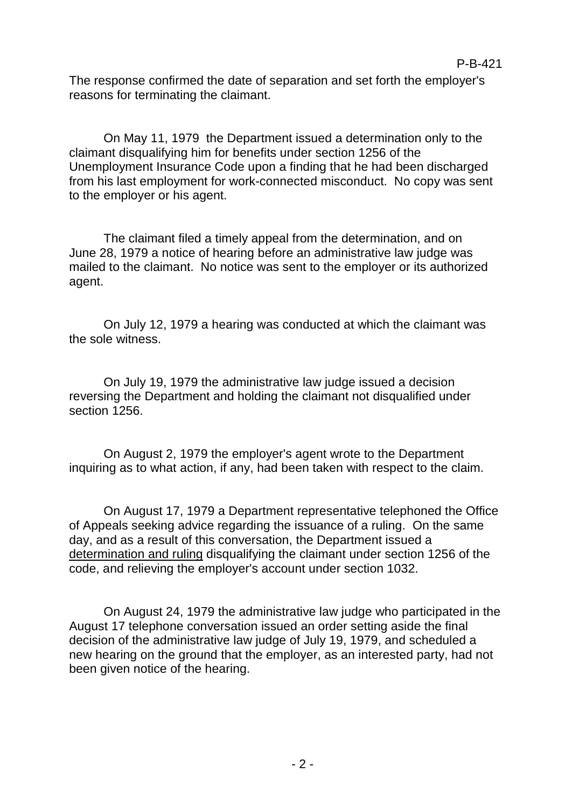The response confirmed the date of separation and set forth the employer's reasons for terminating the claimant.

On May 11, 1979 the Department issued a determination only to the claimant disqualifying him for benefits under section 1256 of the Unemployment Insurance Code upon a finding that he had been discharged from his last employment for work-connected misconduct. No copy was sent to the employer or his agent.

The claimant filed a timely appeal from the determination, and on June 28, 1979 a notice of hearing before an administrative law judge was mailed to the claimant. No notice was sent to the employer or its authorized agent.

On July 12, 1979 a hearing was conducted at which the claimant was the sole witness.

On July 19, 1979 the administrative law judge issued a decision reversing the Department and holding the claimant not disqualified under section 1256.

On August 2, 1979 the employer's agent wrote to the Department inquiring as to what action, if any, had been taken with respect to the claim.

On August 17, 1979 a Department representative telephoned the Office of Appeals seeking advice regarding the issuance of a ruling. On the same day, and as a result of this conversation, the Department issued a determination and ruling disqualifying the claimant under section 1256 of the code, and relieving the employer's account under section 1032.

On August 24, 1979 the administrative law judge who participated in the August 17 telephone conversation issued an order setting aside the final decision of the administrative law judge of July 19, 1979, and scheduled a new hearing on the ground that the employer, as an interested party, had not been given notice of the hearing.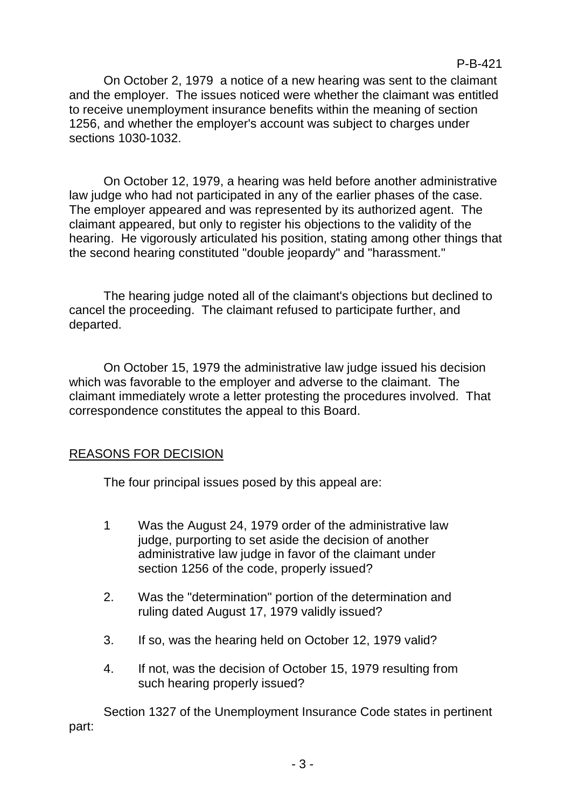On October 2, 1979 a notice of a new hearing was sent to the claimant and the employer. The issues noticed were whether the claimant was entitled to receive unemployment insurance benefits within the meaning of section 1256, and whether the employer's account was subject to charges under sections 1030-1032.

On October 12, 1979, a hearing was held before another administrative law judge who had not participated in any of the earlier phases of the case. The employer appeared and was represented by its authorized agent. The claimant appeared, but only to register his objections to the validity of the hearing. He vigorously articulated his position, stating among other things that the second hearing constituted "double jeopardy" and "harassment."

The hearing judge noted all of the claimant's objections but declined to cancel the proceeding. The claimant refused to participate further, and departed.

On October 15, 1979 the administrative law judge issued his decision which was favorable to the employer and adverse to the claimant. The claimant immediately wrote a letter protesting the procedures involved. That correspondence constitutes the appeal to this Board.

# REASONS FOR DECISION

The four principal issues posed by this appeal are:

- 1 Was the August 24, 1979 order of the administrative law judge, purporting to set aside the decision of another administrative law judge in favor of the claimant under section 1256 of the code, properly issued?
- 2. Was the "determination" portion of the determination and ruling dated August 17, 1979 validly issued?
- 3. If so, was the hearing held on October 12, 1979 valid?
- 4. If not, was the decision of October 15, 1979 resulting from such hearing properly issued?

Section 1327 of the Unemployment Insurance Code states in pertinent part: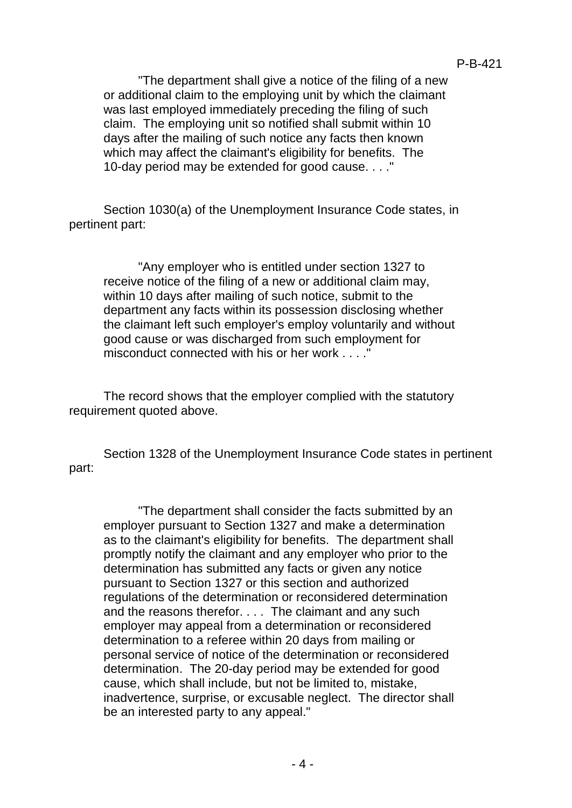"The department shall give a notice of the filing of a new or additional claim to the employing unit by which the claimant was last employed immediately preceding the filing of such claim. The employing unit so notified shall submit within 10 days after the mailing of such notice any facts then known which may affect the claimant's eligibility for benefits. The 10-day period may be extended for good cause. . . ."

Section 1030(a) of the Unemployment Insurance Code states, in pertinent part:

"Any employer who is entitled under section 1327 to receive notice of the filing of a new or additional claim may, within 10 days after mailing of such notice, submit to the department any facts within its possession disclosing whether the claimant left such employer's employ voluntarily and without good cause or was discharged from such employment for misconduct connected with his or her work . . . . "

The record shows that the employer complied with the statutory requirement quoted above.

Section 1328 of the Unemployment Insurance Code states in pertinent part:

"The department shall consider the facts submitted by an employer pursuant to Section 1327 and make a determination as to the claimant's eligibility for benefits. The department shall promptly notify the claimant and any employer who prior to the determination has submitted any facts or given any notice pursuant to Section 1327 or this section and authorized regulations of the determination or reconsidered determination and the reasons therefor. . . . The claimant and any such employer may appeal from a determination or reconsidered determination to a referee within 20 days from mailing or personal service of notice of the determination or reconsidered determination. The 20-day period may be extended for good cause, which shall include, but not be limited to, mistake, inadvertence, surprise, or excusable neglect. The director shall be an interested party to any appeal."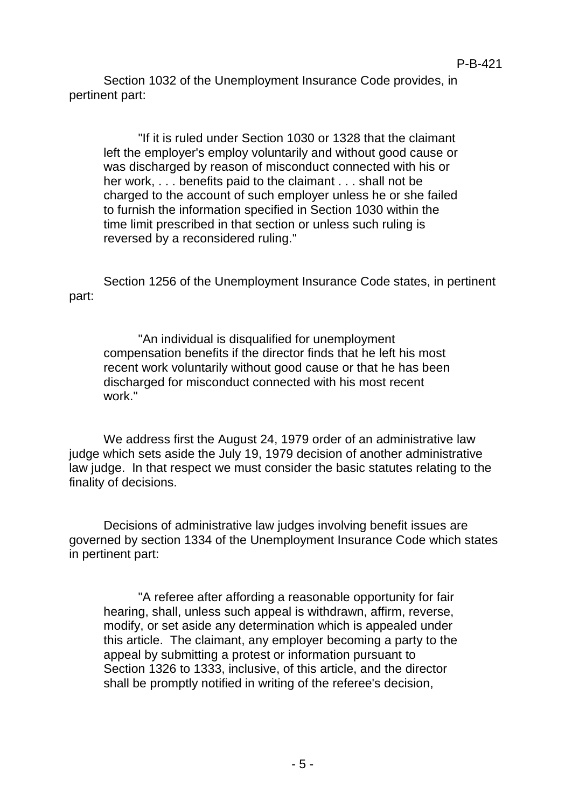Section 1032 of the Unemployment Insurance Code provides, in pertinent part:

"If it is ruled under Section 1030 or 1328 that the claimant left the employer's employ voluntarily and without good cause or was discharged by reason of misconduct connected with his or her work, . . . benefits paid to the claimant . . . shall not be charged to the account of such employer unless he or she failed to furnish the information specified in Section 1030 within the time limit prescribed in that section or unless such ruling is reversed by a reconsidered ruling."

Section 1256 of the Unemployment Insurance Code states, in pertinent part:

"An individual is disqualified for unemployment compensation benefits if the director finds that he left his most recent work voluntarily without good cause or that he has been discharged for misconduct connected with his most recent work."

We address first the August 24, 1979 order of an administrative law judge which sets aside the July 19, 1979 decision of another administrative law judge. In that respect we must consider the basic statutes relating to the finality of decisions.

Decisions of administrative law judges involving benefit issues are governed by section 1334 of the Unemployment Insurance Code which states in pertinent part:

"A referee after affording a reasonable opportunity for fair hearing, shall, unless such appeal is withdrawn, affirm, reverse, modify, or set aside any determination which is appealed under this article. The claimant, any employer becoming a party to the appeal by submitting a protest or information pursuant to Section 1326 to 1333, inclusive, of this article, and the director shall be promptly notified in writing of the referee's decision,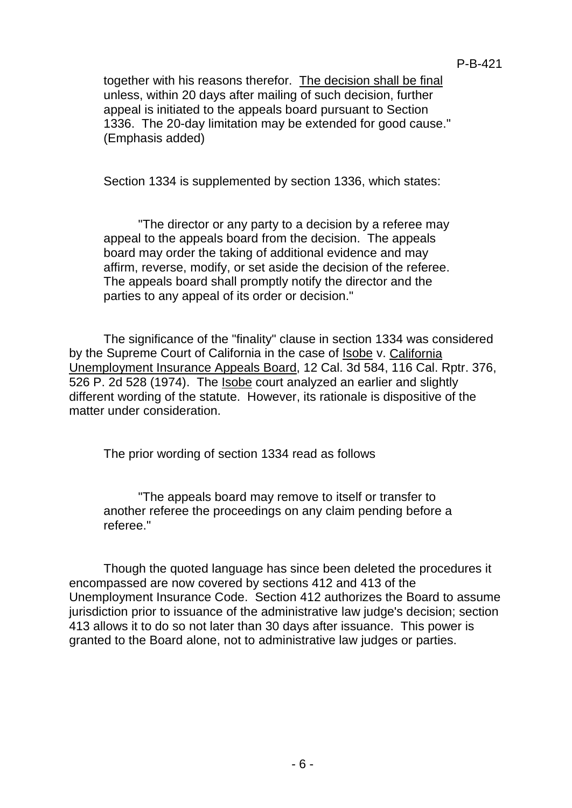together with his reasons therefor. The decision shall be final unless, within 20 days after mailing of such decision, further appeal is initiated to the appeals board pursuant to Section 1336. The 20-day limitation may be extended for good cause." (Emphasis added)

Section 1334 is supplemented by section 1336, which states:

"The director or any party to a decision by a referee may appeal to the appeals board from the decision. The appeals board may order the taking of additional evidence and may affirm, reverse, modify, or set aside the decision of the referee. The appeals board shall promptly notify the director and the parties to any appeal of its order or decision."

The significance of the "finality" clause in section 1334 was considered by the Supreme Court of California in the case of Isobe v. California Unemployment Insurance Appeals Board, 12 Cal. 3d 584, 116 Cal. Rptr. 376, 526 P. 2d 528 (1974). The Isobe court analyzed an earlier and slightly different wording of the statute. However, its rationale is dispositive of the matter under consideration.

The prior wording of section 1334 read as follows

"The appeals board may remove to itself or transfer to another referee the proceedings on any claim pending before a referee."

Though the quoted language has since been deleted the procedures it encompassed are now covered by sections 412 and 413 of the Unemployment Insurance Code. Section 412 authorizes the Board to assume jurisdiction prior to issuance of the administrative law judge's decision; section 413 allows it to do so not later than 30 days after issuance. This power is granted to the Board alone, not to administrative law judges or parties.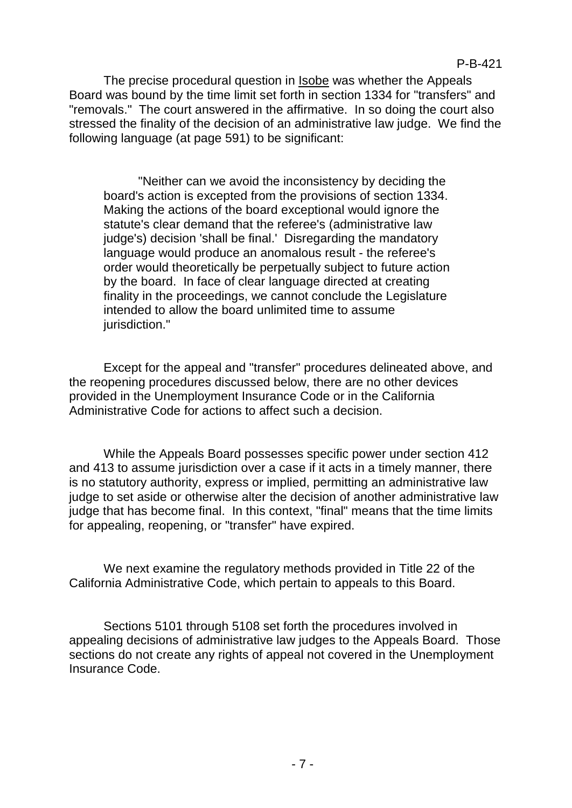The precise procedural question in Isobe was whether the Appeals Board was bound by the time limit set forth in section 1334 for "transfers" and "removals." The court answered in the affirmative. In so doing the court also stressed the finality of the decision of an administrative law judge. We find the following language (at page 591) to be significant:

"Neither can we avoid the inconsistency by deciding the board's action is excepted from the provisions of section 1334. Making the actions of the board exceptional would ignore the statute's clear demand that the referee's (administrative law judge's) decision 'shall be final.' Disregarding the mandatory language would produce an anomalous result - the referee's order would theoretically be perpetually subject to future action by the board. In face of clear language directed at creating finality in the proceedings, we cannot conclude the Legislature intended to allow the board unlimited time to assume jurisdiction."

Except for the appeal and "transfer" procedures delineated above, and the reopening procedures discussed below, there are no other devices provided in the Unemployment Insurance Code or in the California Administrative Code for actions to affect such a decision.

While the Appeals Board possesses specific power under section 412 and 413 to assume jurisdiction over a case if it acts in a timely manner, there is no statutory authority, express or implied, permitting an administrative law judge to set aside or otherwise alter the decision of another administrative law judge that has become final. In this context, "final" means that the time limits for appealing, reopening, or "transfer" have expired.

We next examine the regulatory methods provided in Title 22 of the California Administrative Code, which pertain to appeals to this Board.

Sections 5101 through 5108 set forth the procedures involved in appealing decisions of administrative law judges to the Appeals Board. Those sections do not create any rights of appeal not covered in the Unemployment Insurance Code.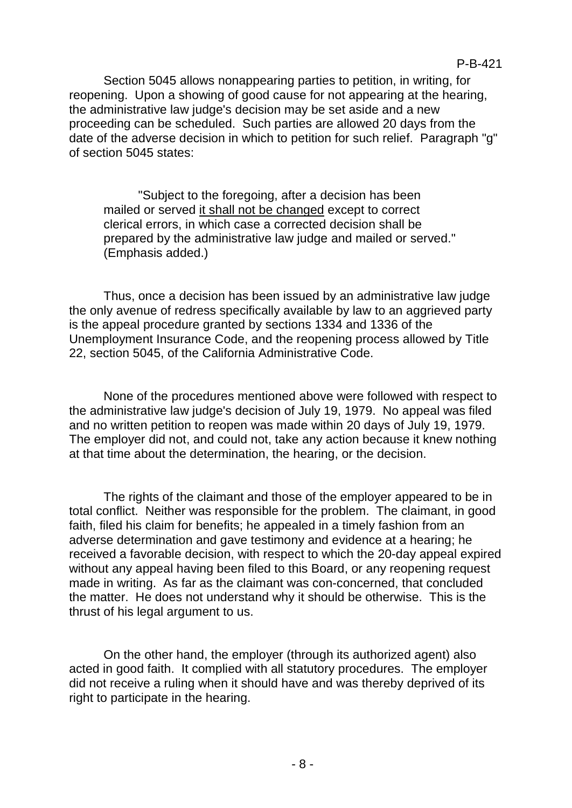Section 5045 allows nonappearing parties to petition, in writing, for reopening. Upon a showing of good cause for not appearing at the hearing, the administrative law judge's decision may be set aside and a new proceeding can be scheduled. Such parties are allowed 20 days from the date of the adverse decision in which to petition for such relief. Paragraph "g" of section 5045 states:

"Subject to the foregoing, after a decision has been mailed or served it shall not be changed except to correct clerical errors, in which case a corrected decision shall be prepared by the administrative law judge and mailed or served." (Emphasis added.)

Thus, once a decision has been issued by an administrative law judge the only avenue of redress specifically available by law to an aggrieved party is the appeal procedure granted by sections 1334 and 1336 of the Unemployment Insurance Code, and the reopening process allowed by Title 22, section 5045, of the California Administrative Code.

None of the procedures mentioned above were followed with respect to the administrative law judge's decision of July 19, 1979. No appeal was filed and no written petition to reopen was made within 20 days of July 19, 1979. The employer did not, and could not, take any action because it knew nothing at that time about the determination, the hearing, or the decision.

The rights of the claimant and those of the employer appeared to be in total conflict. Neither was responsible for the problem. The claimant, in good faith, filed his claim for benefits; he appealed in a timely fashion from an adverse determination and gave testimony and evidence at a hearing; he received a favorable decision, with respect to which the 20-day appeal expired without any appeal having been filed to this Board, or any reopening request made in writing. As far as the claimant was con-concerned, that concluded the matter. He does not understand why it should be otherwise. This is the thrust of his legal argument to us.

On the other hand, the employer (through its authorized agent) also acted in good faith. It complied with all statutory procedures. The employer did not receive a ruling when it should have and was thereby deprived of its right to participate in the hearing.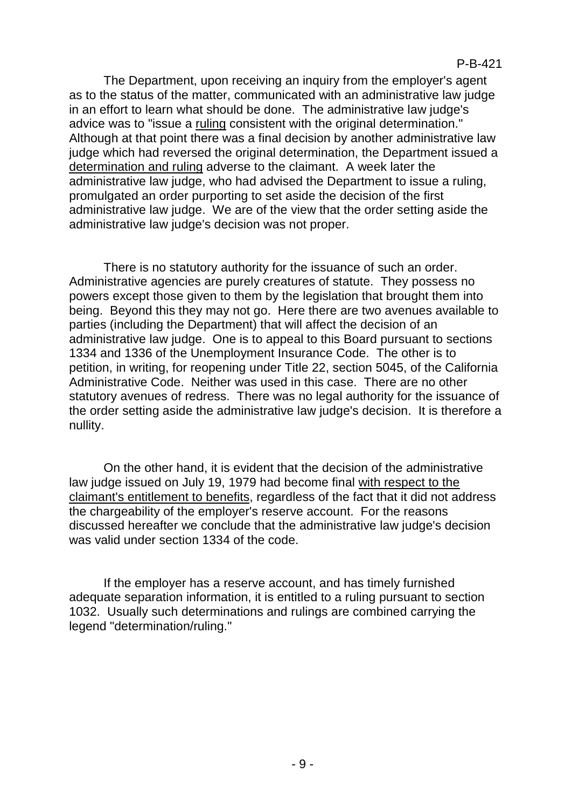The Department, upon receiving an inquiry from the employer's agent as to the status of the matter, communicated with an administrative law judge in an effort to learn what should be done. The administrative law judge's advice was to "issue a ruling consistent with the original determination." Although at that point there was a final decision by another administrative law judge which had reversed the original determination, the Department issued a determination and ruling adverse to the claimant. A week later the administrative law judge, who had advised the Department to issue a ruling, promulgated an order purporting to set aside the decision of the first administrative law judge. We are of the view that the order setting aside the administrative law judge's decision was not proper.

There is no statutory authority for the issuance of such an order. Administrative agencies are purely creatures of statute. They possess no powers except those given to them by the legislation that brought them into being. Beyond this they may not go. Here there are two avenues available to parties (including the Department) that will affect the decision of an administrative law judge. One is to appeal to this Board pursuant to sections 1334 and 1336 of the Unemployment Insurance Code. The other is to petition, in writing, for reopening under Title 22, section 5045, of the California Administrative Code. Neither was used in this case. There are no other statutory avenues of redress. There was no legal authority for the issuance of the order setting aside the administrative law judge's decision. It is therefore a nullity.

On the other hand, it is evident that the decision of the administrative law judge issued on July 19, 1979 had become final with respect to the claimant's entitlement to benefits, regardless of the fact that it did not address the chargeability of the employer's reserve account. For the reasons discussed hereafter we conclude that the administrative law judge's decision was valid under section 1334 of the code.

If the employer has a reserve account, and has timely furnished adequate separation information, it is entitled to a ruling pursuant to section 1032. Usually such determinations and rulings are combined carrying the legend "determination/ruling."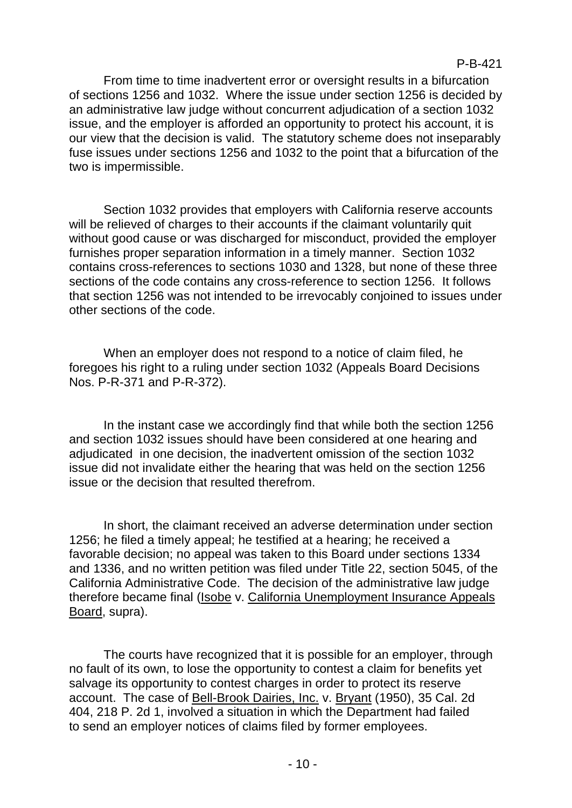From time to time inadvertent error or oversight results in a bifurcation of sections 1256 and 1032. Where the issue under section 1256 is decided by an administrative law judge without concurrent adjudication of a section 1032 issue, and the employer is afforded an opportunity to protect his account, it is our view that the decision is valid. The statutory scheme does not inseparably fuse issues under sections 1256 and 1032 to the point that a bifurcation of the two is impermissible.

Section 1032 provides that employers with California reserve accounts will be relieved of charges to their accounts if the claimant voluntarily quit without good cause or was discharged for misconduct, provided the employer furnishes proper separation information in a timely manner. Section 1032 contains cross-references to sections 1030 and 1328, but none of these three sections of the code contains any cross-reference to section 1256. It follows that section 1256 was not intended to be irrevocably conjoined to issues under other sections of the code.

When an employer does not respond to a notice of claim filed, he foregoes his right to a ruling under section 1032 (Appeals Board Decisions Nos. P-R-371 and P-R-372).

In the instant case we accordingly find that while both the section 1256 and section 1032 issues should have been considered at one hearing and adjudicated in one decision, the inadvertent omission of the section 1032 issue did not invalidate either the hearing that was held on the section 1256 issue or the decision that resulted therefrom.

In short, the claimant received an adverse determination under section 1256; he filed a timely appeal; he testified at a hearing; he received a favorable decision; no appeal was taken to this Board under sections 1334 and 1336, and no written petition was filed under Title 22, section 5045, of the California Administrative Code. The decision of the administrative law judge therefore became final (Isobe v. California Unemployment Insurance Appeals Board, supra).

The courts have recognized that it is possible for an employer, through no fault of its own, to lose the opportunity to contest a claim for benefits yet salvage its opportunity to contest charges in order to protect its reserve account. The case of Bell-Brook Dairies, Inc. v. Bryant (1950), 35 Cal. 2d 404, 218 P. 2d 1, involved a situation in which the Department had failed to send an employer notices of claims filed by former employees.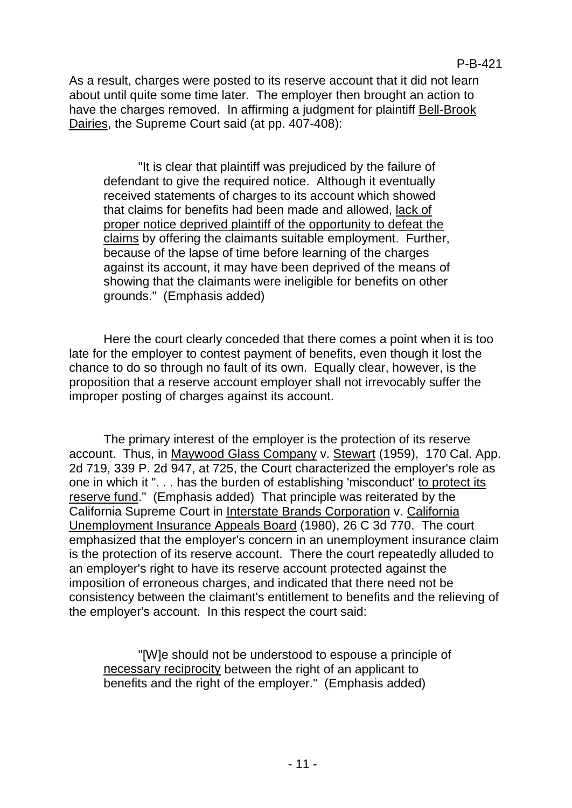As a result, charges were posted to its reserve account that it did not learn about until quite some time later. The employer then brought an action to have the charges removed. In affirming a judgment for plaintiff Bell-Brook Dairies, the Supreme Court said (at pp. 407-408):

"It is clear that plaintiff was prejudiced by the failure of defendant to give the required notice. Although it eventually received statements of charges to its account which showed that claims for benefits had been made and allowed, lack of proper notice deprived plaintiff of the opportunity to defeat the claims by offering the claimants suitable employment. Further, because of the lapse of time before learning of the charges against its account, it may have been deprived of the means of showing that the claimants were ineligible for benefits on other grounds." (Emphasis added)

Here the court clearly conceded that there comes a point when it is too late for the employer to contest payment of benefits, even though it lost the chance to do so through no fault of its own. Equally clear, however, is the proposition that a reserve account employer shall not irrevocably suffer the improper posting of charges against its account.

The primary interest of the employer is the protection of its reserve account. Thus, in Maywood Glass Company v. Stewart (1959), 170 Cal. App. 2d 719, 339 P. 2d 947, at 725, the Court characterized the employer's role as one in which it ". . . has the burden of establishing 'misconduct' to protect its reserve fund." (Emphasis added) That principle was reiterated by the California Supreme Court in Interstate Brands Corporation v. California Unemployment Insurance Appeals Board (1980), 26 C 3d 770. The court emphasized that the employer's concern in an unemployment insurance claim is the protection of its reserve account. There the court repeatedly alluded to an employer's right to have its reserve account protected against the imposition of erroneous charges, and indicated that there need not be consistency between the claimant's entitlement to benefits and the relieving of the employer's account. In this respect the court said:

"[W]e should not be understood to espouse a principle of necessary reciprocity between the right of an applicant to benefits and the right of the employer." (Emphasis added)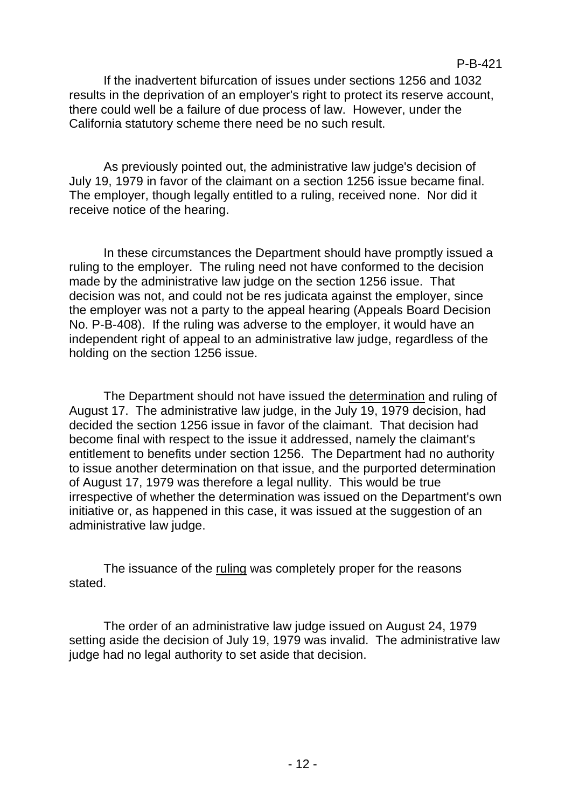If the inadvertent bifurcation of issues under sections 1256 and 1032 results in the deprivation of an employer's right to protect its reserve account, there could well be a failure of due process of law. However, under the California statutory scheme there need be no such result.

As previously pointed out, the administrative law judge's decision of July 19, 1979 in favor of the claimant on a section 1256 issue became final. The employer, though legally entitled to a ruling, received none. Nor did it receive notice of the hearing.

In these circumstances the Department should have promptly issued a ruling to the employer. The ruling need not have conformed to the decision made by the administrative law judge on the section 1256 issue. That decision was not, and could not be res judicata against the employer, since the employer was not a party to the appeal hearing (Appeals Board Decision No. P-B-408). If the ruling was adverse to the employer, it would have an independent right of appeal to an administrative law judge, regardless of the holding on the section 1256 issue.

The Department should not have issued the determination and ruling of August 17. The administrative law judge, in the July 19, 1979 decision, had decided the section 1256 issue in favor of the claimant. That decision had become final with respect to the issue it addressed, namely the claimant's entitlement to benefits under section 1256. The Department had no authority to issue another determination on that issue, and the purported determination of August 17, 1979 was therefore a legal nullity. This would be true irrespective of whether the determination was issued on the Department's own initiative or, as happened in this case, it was issued at the suggestion of an administrative law judge.

The issuance of the ruling was completely proper for the reasons stated.

The order of an administrative law judge issued on August 24, 1979 setting aside the decision of July 19, 1979 was invalid. The administrative law judge had no legal authority to set aside that decision.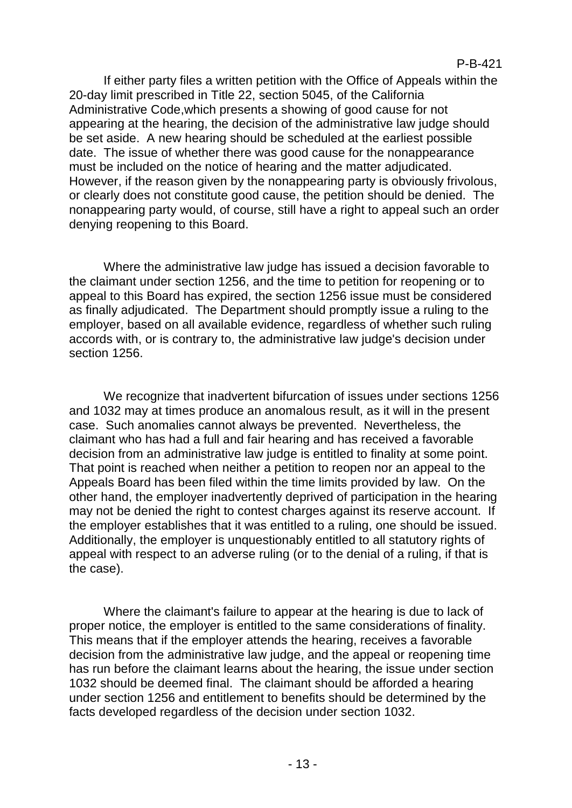If either party files a written petition with the Office of Appeals within the 20-day limit prescribed in Title 22, section 5045, of the California Administrative Code,which presents a showing of good cause for not appearing at the hearing, the decision of the administrative law judge should be set aside. A new hearing should be scheduled at the earliest possible date. The issue of whether there was good cause for the nonappearance must be included on the notice of hearing and the matter adjudicated. However, if the reason given by the nonappearing party is obviously frivolous, or clearly does not constitute good cause, the petition should be denied. The nonappearing party would, of course, still have a right to appeal such an order denying reopening to this Board.

Where the administrative law judge has issued a decision favorable to the claimant under section 1256, and the time to petition for reopening or to appeal to this Board has expired, the section 1256 issue must be considered as finally adjudicated. The Department should promptly issue a ruling to the employer, based on all available evidence, regardless of whether such ruling accords with, or is contrary to, the administrative law judge's decision under section 1256.

We recognize that inadvertent bifurcation of issues under sections 1256 and 1032 may at times produce an anomalous result, as it will in the present case. Such anomalies cannot always be prevented. Nevertheless, the claimant who has had a full and fair hearing and has received a favorable decision from an administrative law judge is entitled to finality at some point. That point is reached when neither a petition to reopen nor an appeal to the Appeals Board has been filed within the time limits provided by law. On the other hand, the employer inadvertently deprived of participation in the hearing may not be denied the right to contest charges against its reserve account. If the employer establishes that it was entitled to a ruling, one should be issued. Additionally, the employer is unquestionably entitled to all statutory rights of appeal with respect to an adverse ruling (or to the denial of a ruling, if that is the case).

Where the claimant's failure to appear at the hearing is due to lack of proper notice, the employer is entitled to the same considerations of finality. This means that if the employer attends the hearing, receives a favorable decision from the administrative law judge, and the appeal or reopening time has run before the claimant learns about the hearing, the issue under section 1032 should be deemed final. The claimant should be afforded a hearing under section 1256 and entitlement to benefits should be determined by the facts developed regardless of the decision under section 1032.